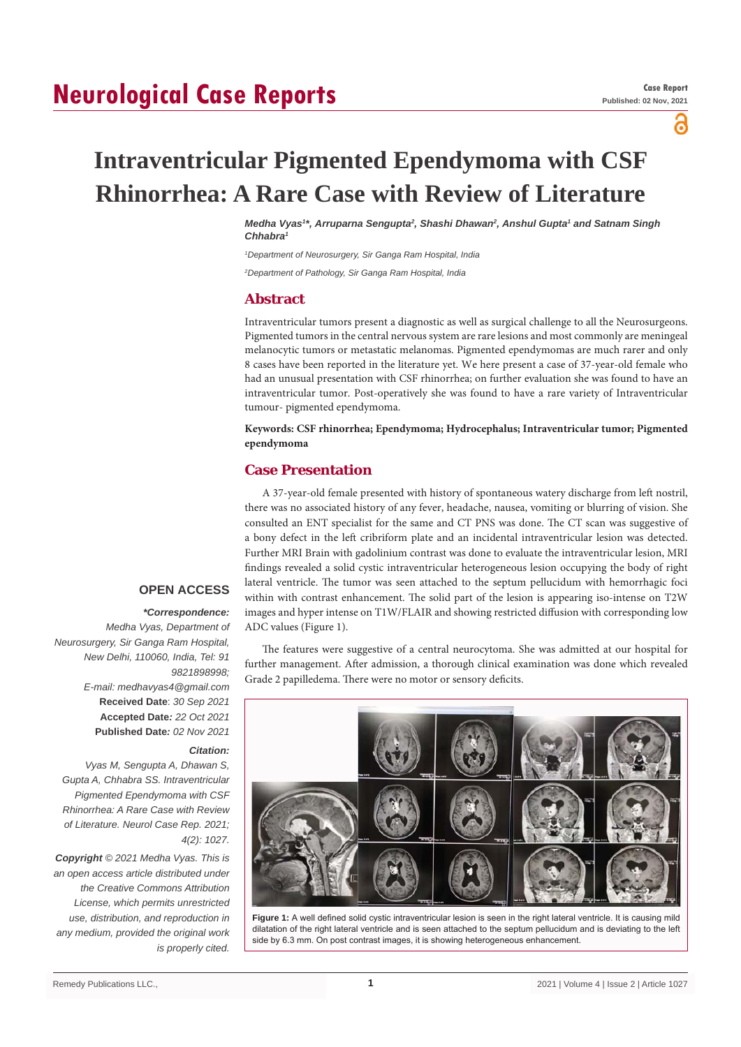# **Neurological Case Reports**

പ്പ

# **Intraventricular Pigmented Ependymoma with CSF Rhinorrhea: A Rare Case with Review of Literature**

*M*edha Vyas<sup>1</sup>\*, Arruparna Sengupta<sup>2</sup>, Shashi Dhawan<sup>2</sup>, Anshul Gupta<sup>1</sup> and Satnam Singh *Chhabra1*

*1 Department of Neurosurgery, Sir Ganga Ram Hospital, India*

*2 Department of Pathology, Sir Ganga Ram Hospital, India*

# **Abstract**

Intraventricular tumors present a diagnostic as well as surgical challenge to all the Neurosurgeons. Pigmented tumors in the central nervous system are rare lesions and most commonly are meningeal melanocytic tumors or metastatic melanomas. Pigmented ependymomas are much rarer and only 8 cases have been reported in the literature yet. We here present a case of 37-year-old female who had an unusual presentation with CSF rhinorrhea; on further evaluation she was found to have an intraventricular tumor. Post-operatively she was found to have a rare variety of Intraventricular tumour- pigmented ependymoma.

## **Keywords: CSF rhinorrhea; Ependymoma; Hydrocephalus; Intraventricular tumor; Pigmented ependymoma**

# **Case Presentation**

A 37-year-old female presented with history of spontaneous watery discharge from left nostril, there was no associated history of any fever, headache, nausea, vomiting or blurring of vision. She consulted an ENT specialist for the same and CT PNS was done. The CT scan was suggestive of a bony defect in the left cribriform plate and an incidental intraventricular lesion was detected. Further MRI Brain with gadolinium contrast was done to evaluate the intraventricular lesion, MRI findings revealed a solid cystic intraventricular heterogeneous lesion occupying the body of right lateral ventricle. The tumor was seen attached to the septum pellucidum with hemorrhagic foci within with contrast enhancement. The solid part of the lesion is appearing iso-intense on T2W images and hyper intense on T1W/FLAIR and showing restricted diffusion with corresponding low ADC values (Figure 1).

The features were suggestive of a central neurocytoma. She was admitted at our hospital for further management. After admission, a thorough clinical examination was done which revealed Grade 2 papilledema. There were no motor or sensory deficits.



**Figure 1:** A well defined solid cystic intraventricular lesion is seen in the right lateral ventricle. It is causing mild dilatation of the right lateral ventricle and is seen attached to the septum pellucidum and is deviating to the left side by 6.3 mm. On post contrast images, it is showing heterogeneous enhancement.

# **OPEN ACCESS**

### *\*Correspondence:*

*Medha Vyas, Department of Neurosurgery, Sir Ganga Ram Hospital, New Delhi, 110060, India, Tel: 91 9821898998; E-mail: medhavyas4@gmail.com* **Received Date**: *30 Sep 2021* **Accepted Date***: 22 Oct 2021* **Published Date***: 02 Nov 2021*

#### *Citation:*

*Vyas M, Sengupta A, Dhawan S, Gupta A, Chhabra SS. Intraventricular Pigmented Ependymoma with CSF Rhinorrhea: A Rare Case with Review of Literature. Neurol Case Rep. 2021; 4(2): 1027.*

*Copyright © 2021 Medha Vyas. This is an open access article distributed under the Creative Commons Attribution License, which permits unrestricted use, distribution, and reproduction in any medium, provided the original work is properly cited.*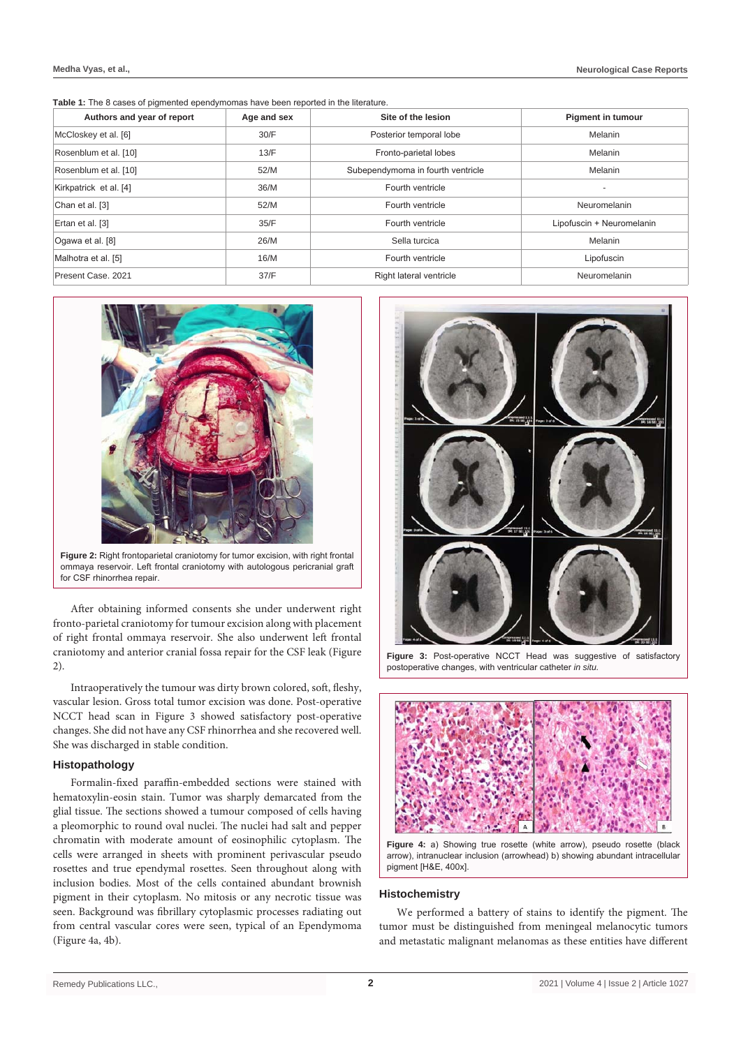**Table 1:** The 8 cases of pigmented ependymomas have been reported in the literature.

| Authors and year of report | Age and sex | Site of the lesion                | <b>Pigment in tumour</b>  |
|----------------------------|-------------|-----------------------------------|---------------------------|
| McCloskey et al. [6]       | 30/F        | Posterior temporal lobe           | Melanin                   |
| Rosenblum et al. [10]      | 13/F        | Fronto-parietal lobes             | Melanin                   |
| Rosenblum et al. [10]      | 52/M        | Subependymoma in fourth ventricle | Melanin                   |
| Kirkpatrick et al. [4]     | 36/M        | Fourth ventricle                  |                           |
| Chan et al. [3]            | 52/M        | Fourth ventricle                  | Neuromelanin              |
| Ertan et al. [3]           | 35/F        | Fourth ventricle                  | Lipofuscin + Neuromelanin |
| Ogawa et al. [8]           | 26/M        | Sella turcica                     | Melanin                   |
| Malhotra et al. [5]        | 16/M        | Fourth ventricle                  | Lipofuscin                |
| Present Case, 2021         | 37/F        | Right lateral ventricle           | Neuromelanin              |



**Figure 2:** Right frontoparietal craniotomy for tumor excision, with right frontal ommaya reservoir. Left frontal craniotomy with autologous pericranial graft for CSF rhinorrhea repair.

After obtaining informed consents she under underwent right fronto-parietal craniotomy for tumour excision along with placement of right frontal ommaya reservoir. She also underwent left frontal craniotomy and anterior cranial fossa repair for the CSF leak (Figure 2).

Intraoperatively the tumour was dirty brown colored, soft, fleshy, vascular lesion. Gross total tumor excision was done. Post-operative NCCT head scan in Figure 3 showed satisfactory post-operative changes. She did not have any CSF rhinorrhea and she recovered well. She was discharged in stable condition.

## **Histopathology**

Formalin-fixed paraffin-embedded sections were stained with hematoxylin-eosin stain. Tumor was sharply demarcated from the glial tissue. The sections showed a tumour composed of cells having a pleomorphic to round oval nuclei. The nuclei had salt and pepper chromatin with moderate amount of eosinophilic cytoplasm. The cells were arranged in sheets with prominent perivascular pseudo rosettes and true ependymal rosettes. Seen throughout along with inclusion bodies. Most of the cells contained abundant brownish pigment in their cytoplasm. No mitosis or any necrotic tissue was seen. Background was fibrillary cytoplasmic processes radiating out from central vascular cores were seen, typical of an Ependymoma (Figure 4a, 4b).



**Figure 3:** Post-operative NCCT Head was suggestive of satisfactory postoperative changes, with ventricular catheter *in situ.*



**Figure 4:** a) Showing true rosette (white arrow), pseudo rosette (black arrow), intranuclear inclusion (arrowhead) b) showing abundant intracellular pigment [H&E, 400x].

## **Histochemistry**

We performed a battery of stains to identify the pigment. The tumor must be distinguished from meningeal melanocytic tumors and metastatic malignant melanomas as these entities have different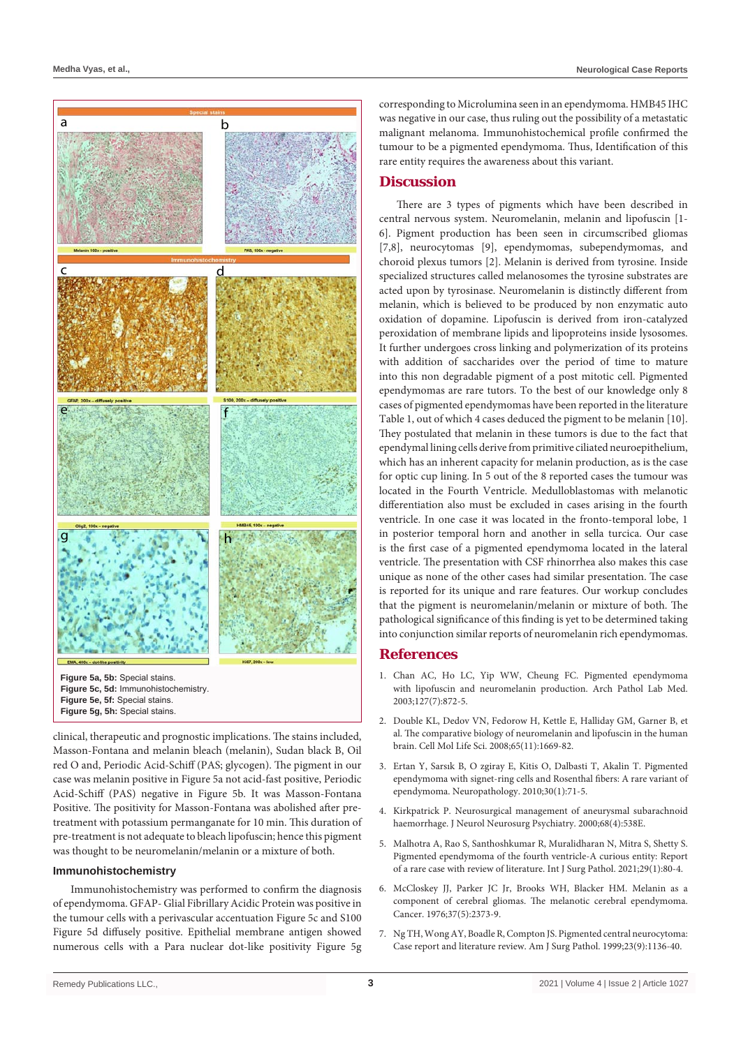

clinical, therapeutic and prognostic implications. The stains included, Masson-Fontana and melanin bleach (melanin), Sudan black B, Oil red O and, Periodic Acid-Schiff (PAS; glycogen). The pigment in our case was melanin positive in Figure 5a not acid-fast positive, Periodic Acid-Schiff (PAS) negative in Figure 5b. It was Masson-Fontana Positive. The positivity for Masson-Fontana was abolished after pretreatment with potassium permanganate for 10 min. This duration of pre-treatment is not adequate to bleach lipofuscin; hence this pigment was thought to be neuromelanin/melanin or a mixture of both.

### **Immunohistochemistry**

Immunohistochemistry was performed to confirm the diagnosis of ependymoma. GFAP- Glial Fibrillary Acidic Protein was positive in the tumour cells with a perivascular accentuation Figure 5c and S100 Figure 5d diffusely positive. Epithelial membrane antigen showed numerous cells with a Para nuclear dot-like positivity Figure 5g

corresponding to Microlumina seen in an ependymoma. HMB45 IHC was negative in our case, thus ruling out the possibility of a metastatic malignant melanoma. Immunohistochemical profile confirmed the tumour to be a pigmented ependymoma. Thus, Identification of this rare entity requires the awareness about this variant.

# **Discussion**

There are 3 types of pigments which have been described in central nervous system. Neuromelanin, melanin and lipofuscin [1- 6]. Pigment production has been seen in circumscribed gliomas [7,8], neurocytomas [9], ependymomas, subependymomas, and choroid plexus tumors [2]. Melanin is derived from tyrosine. Inside specialized structures called melanosomes the tyrosine substrates are acted upon by tyrosinase. Neuromelanin is distinctly different from melanin, which is believed to be produced by non enzymatic auto oxidation of dopamine. Lipofuscin is derived from iron-catalyzed peroxidation of membrane lipids and lipoproteins inside lysosomes. It further undergoes cross linking and polymerization of its proteins with addition of saccharides over the period of time to mature into this non degradable pigment of a post mitotic cell. Pigmented ependymomas are rare tutors. To the best of our knowledge only 8 cases of pigmented ependymomas have been reported in the literature Table 1, out of which 4 cases deduced the pigment to be melanin [10]. They postulated that melanin in these tumors is due to the fact that ependymal lining cells derive from primitive ciliated neuroepithelium, which has an inherent capacity for melanin production, as is the case for optic cup lining. In 5 out of the 8 reported cases the tumour was located in the Fourth Ventricle. Medulloblastomas with melanotic differentiation also must be excluded in cases arising in the fourth ventricle. In one case it was located in the fronto-temporal lobe, 1 in posterior temporal horn and another in sella turcica. Our case is the first case of a pigmented ependymoma located in the lateral ventricle. The presentation with CSF rhinorrhea also makes this case unique as none of the other cases had similar presentation. The case is reported for its unique and rare features. Our workup concludes that the pigment is neuromelanin/melanin or mixture of both. The pathological significance of this finding is yet to be determined taking into conjunction similar reports of neuromelanin rich ependymomas.

## **References**

- 1. [Chan AC, Ho LC, Yip WW, Cheung FC. Pigmented ependymoma](https://pubmed.ncbi.nlm.nih.gov/12823046/)  [with lipofuscin and neuromelanin production. Arch Pathol Lab Med.](https://pubmed.ncbi.nlm.nih.gov/12823046/)  [2003;127\(7\):872-5.](https://pubmed.ncbi.nlm.nih.gov/12823046/)
- 2. [Double KL, Dedov VN, Fedorow H, Kettle E, Halliday GM, Garner B, et](https://pubmed.ncbi.nlm.nih.gov/18278576/)  [al. The comparative biology of neuromelanin and lipofuscin in the human](https://pubmed.ncbi.nlm.nih.gov/18278576/)  [brain. Cell Mol Life Sci. 2008;65\(11\):1669-82.](https://pubmed.ncbi.nlm.nih.gov/18278576/)
- 3. [Ertan Y, Sarsık B, O zgiray E, Kitis O, Dalbasti T, Akalin T. Pigmented](https://pubmed.ncbi.nlm.nih.gov/19508348/)  [ependymoma with signet-ring cells and Rosenthal fibers: A rare variant of](https://pubmed.ncbi.nlm.nih.gov/19508348/)  [ependymoma. Neuropathology. 2010;30\(1\):71-5.](https://pubmed.ncbi.nlm.nih.gov/19508348/)
- 4. [Kirkpatrick P. Neurosurgical management of aneurysmal subarachnoid](https://pubmed.ncbi.nlm.nih.gov/10727501/)  [haemorrhage. J Neurol Neurosurg Psychiatry. 2000;68\(4\):538E.](https://pubmed.ncbi.nlm.nih.gov/10727501/)
- 5. [Malhotra A, Rao S, Santhoshkumar R, Muralidharan N, Mitra S, Shetty S.](https://pubmed.ncbi.nlm.nih.gov/32450730/)  [Pigmented ependymoma of the fourth ventricle-A curious entity: Report](https://pubmed.ncbi.nlm.nih.gov/32450730/)  [of a rare case with review of literature. Int J Surg Pathol. 2021;29\(1\):80-4.](https://pubmed.ncbi.nlm.nih.gov/32450730/)
- 6. [McCloskey JJ, Parker JC Jr, Brooks WH, Blacker HM. Melanin as a](https://pubmed.ncbi.nlm.nih.gov/1260723/)  [component of cerebral gliomas. The melanotic cerebral ependymoma.](https://pubmed.ncbi.nlm.nih.gov/1260723/)  [Cancer. 1976;37\(5\):2373-9.](https://pubmed.ncbi.nlm.nih.gov/1260723/)
- 7. [Ng TH, Wong AY, Boadle R, Compton JS. Pigmented central neurocytoma:](https://pubmed.ncbi.nlm.nih.gov/10478676/)  [Case report and literature review. Am J Surg Pathol. 1999;23\(9\):1136-40.](https://pubmed.ncbi.nlm.nih.gov/10478676/)